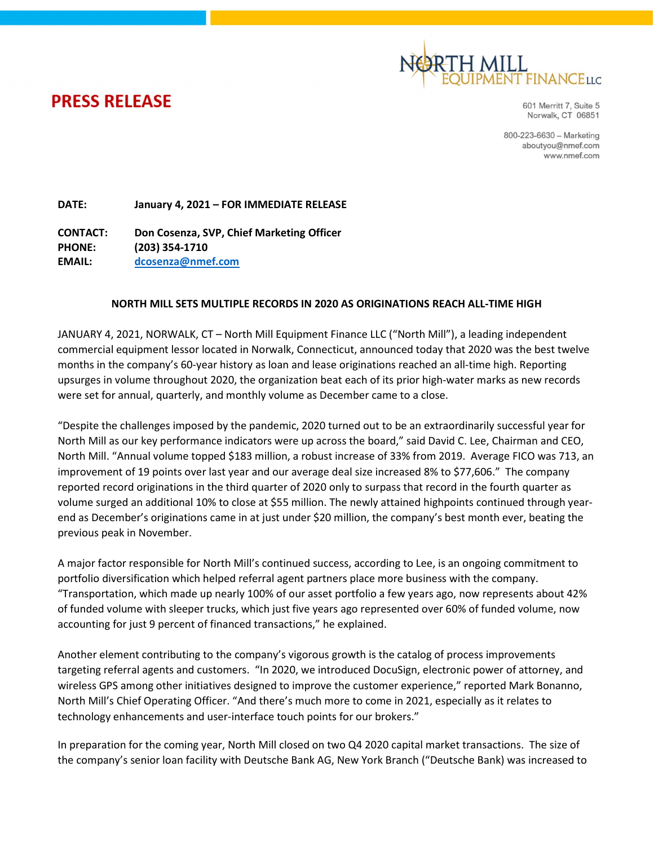

**PRESS RELEASE** 

601 Merritt 7, Suite 5 Norwalk, CT 06851

800-223-6630 - Marketing aboutyou@nmef.com www.nmef.com

DATE: January 4, 2021 – FOR IMMEDIATE RELEASE

CONTACT: Don Cosenza, SVP, Chief Marketing Officer PHONE: (203) 354-1710 EMAIL: dcosenza@nmef.com

## NORTH MILL SETS MULTIPLE RECORDS IN 2020 AS ORIGINATIONS REACH ALL-TIME HIGH

JANUARY 4, 2021, NORWALK, CT – North Mill Equipment Finance LLC ("North Mill"), a leading independent commercial equipment lessor located in Norwalk, Connecticut, announced today that 2020 was the best twelve months in the company's 60-year history as loan and lease originations reached an all-time high. Reporting upsurges in volume throughout 2020, the organization beat each of its prior high-water marks as new records were set for annual, quarterly, and monthly volume as December came to a close.

"Despite the challenges imposed by the pandemic, 2020 turned out to be an extraordinarily successful year for North Mill as our key performance indicators were up across the board," said David C. Lee, Chairman and CEO, North Mill. "Annual volume topped \$183 million, a robust increase of 33% from 2019. Average FICO was 713, an improvement of 19 points over last year and our average deal size increased 8% to \$77,606." The company reported record originations in the third quarter of 2020 only to surpass that record in the fourth quarter as volume surged an additional 10% to close at \$55 million. The newly attained highpoints continued through yearend as December's originations came in at just under \$20 million, the company's best month ever, beating the previous peak in November.

A major factor responsible for North Mill's continued success, according to Lee, is an ongoing commitment to portfolio diversification which helped referral agent partners place more business with the company. "Transportation, which made up nearly 100% of our asset portfolio a few years ago, now represents about 42% of funded volume with sleeper trucks, which just five years ago represented over 60% of funded volume, now accounting for just 9 percent of financed transactions," he explained.

Another element contributing to the company's vigorous growth is the catalog of process improvements targeting referral agents and customers. "In 2020, we introduced DocuSign, electronic power of attorney, and wireless GPS among other initiatives designed to improve the customer experience," reported Mark Bonanno, North Mill's Chief Operating Officer. "And there's much more to come in 2021, especially as it relates to technology enhancements and user-interface touch points for our brokers."

In preparation for the coming year, North Mill closed on two Q4 2020 capital market transactions. The size of the company's senior loan facility with Deutsche Bank AG, New York Branch ("Deutsche Bank) was increased to